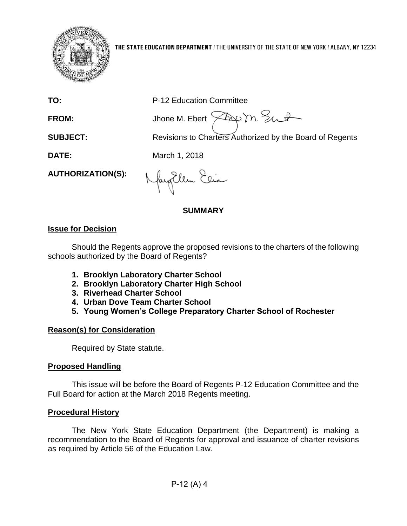

| ta a coal fais. Na alb   |                                                          |
|--------------------------|----------------------------------------------------------|
|                          | <b>SUMMARY</b>                                           |
| <b>AUTHORIZATION(S):</b> | Nayollem Eeia                                            |
| DATE:                    | March 1, 2018                                            |
| <b>SUBJECT:</b>          | Revisions to Charters Authorized by the Board of Regents |

## **Issue for Decision**

Should the Regents approve the proposed revisions to the charters of the following schools authorized by the Board of Regents?

**1. Brooklyn Laboratory Charter School**

**TO:** P-12 Education Committee

FROM: Jhone M. Ebert  $\sqrt{2\alpha}$  m. Eut

- **2. Brooklyn Laboratory Charter High School**
- **3. Riverhead Charter School**
- **4. Urban Dove Team Charter School**
- **5. Young Women's College Preparatory Charter School of Rochester**

## **Reason(s) for Consideration**

Required by State statute.

# **Proposed Handling**

This issue will be before the Board of Regents P-12 Education Committee and the Full Board for action at the March 2018 Regents meeting.

## **Procedural History**

The New York State Education Department (the Department) is making a recommendation to the Board of Regents for approval and issuance of charter revisions as required by Article 56 of the Education Law.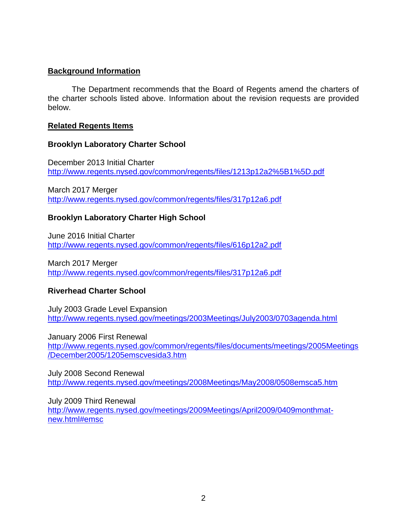## **Background Information**

The Department recommends that the Board of Regents amend the charters of the charter schools listed above. Information about the revision requests are provided below.

## **Related Regents Items**

## **Brooklyn Laboratory Charter School**

December 2013 Initial Charter <http://www.regents.nysed.gov/common/regents/files/1213p12a2%5B1%5D.pdf>

March 2017 Merger <http://www.regents.nysed.gov/common/regents/files/317p12a6.pdf>

## **Brooklyn Laboratory Charter High School**

June 2016 Initial Charter <http://www.regents.nysed.gov/common/regents/files/616p12a2.pdf>

March 2017 Merger <http://www.regents.nysed.gov/common/regents/files/317p12a6.pdf>

# **Riverhead Charter School**

July 2003 Grade Level Expansion <http://www.regents.nysed.gov/meetings/2003Meetings/July2003/0703agenda.html>

January 2006 First Renewal [http://www.regents.nysed.gov/common/regents/files/documents/meetings/2005Meetings](http://www.regents.nysed.gov/common/regents/files/documents/meetings/2005Meetings/December2005/1205emscvesida3.htm) [/December2005/1205emscvesida3.htm](http://www.regents.nysed.gov/common/regents/files/documents/meetings/2005Meetings/December2005/1205emscvesida3.htm)

July 2008 Second Renewal <http://www.regents.nysed.gov/meetings/2008Meetings/May2008/0508emsca5.htm>

July 2009 Third Renewal [http://www.regents.nysed.gov/meetings/2009Meetings/April2009/0409monthmat](http://www.regents.nysed.gov/meetings/2009Meetings/April2009/0409monthmat-new.html#emsc)[new.html#emsc](http://www.regents.nysed.gov/meetings/2009Meetings/April2009/0409monthmat-new.html#emsc)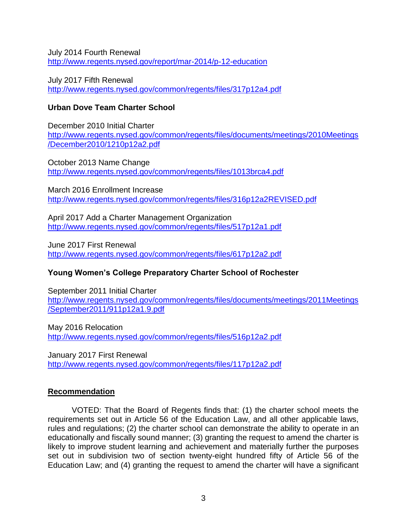July 2014 Fourth Renewal <http://www.regents.nysed.gov/report/mar-2014/p-12-education>

July 2017 Fifth Renewal <http://www.regents.nysed.gov/common/regents/files/317p12a4.pdf>

## **Urban Dove Team Charter School**

December 2010 Initial Charter [http://www.regents.nysed.gov/common/regents/files/documents/meetings/2010Meetings](http://www.regents.nysed.gov/common/regents/files/documents/meetings/2010Meetings/December2010/1210p12a2.pdf) [/December2010/1210p12a2.pdf](http://www.regents.nysed.gov/common/regents/files/documents/meetings/2010Meetings/December2010/1210p12a2.pdf)

October 2013 Name Change <http://www.regents.nysed.gov/common/regents/files/1013brca4.pdf>

March 2016 Enrollment Increase <http://www.regents.nysed.gov/common/regents/files/316p12a2REVISED.pdf>

April 2017 Add a Charter Management Organization <http://www.regents.nysed.gov/common/regents/files/517p12a1.pdf>

June 2017 First Renewal <http://www.regents.nysed.gov/common/regents/files/617p12a2.pdf>

# **Young Women's College Preparatory Charter School of Rochester**

September 2011 Initial Charter [http://www.regents.nysed.gov/common/regents/files/documents/meetings/2011Meetings](http://www.regents.nysed.gov/common/regents/files/documents/meetings/2011Meetings/September2011/911p12a1.9.pdf) [/September2011/911p12a1.9.pdf](http://www.regents.nysed.gov/common/regents/files/documents/meetings/2011Meetings/September2011/911p12a1.9.pdf)

May 2016 Relocation <http://www.regents.nysed.gov/common/regents/files/516p12a2.pdf>

January 2017 First Renewal <http://www.regents.nysed.gov/common/regents/files/117p12a2.pdf>

# **Recommendation**

VOTED: That the Board of Regents finds that: (1) the charter school meets the requirements set out in Article 56 of the Education Law, and all other applicable laws, rules and regulations; (2) the charter school can demonstrate the ability to operate in an educationally and fiscally sound manner; (3) granting the request to amend the charter is likely to improve student learning and achievement and materially further the purposes set out in subdivision two of section twenty-eight hundred fifty of Article 56 of the Education Law; and (4) granting the request to amend the charter will have a significant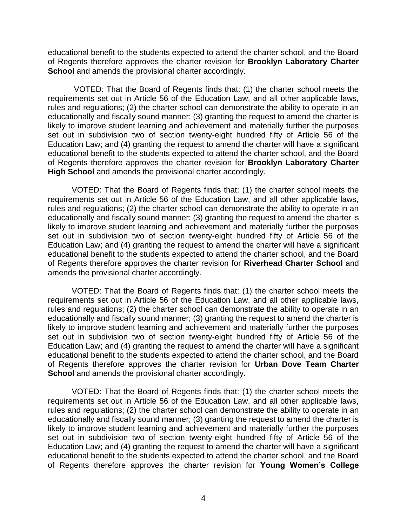educational benefit to the students expected to attend the charter school, and the Board of Regents therefore approves the charter revision for **Brooklyn Laboratory Charter School** and amends the provisional charter accordingly.

VOTED: That the Board of Regents finds that: (1) the charter school meets the requirements set out in Article 56 of the Education Law, and all other applicable laws, rules and regulations; (2) the charter school can demonstrate the ability to operate in an educationally and fiscally sound manner; (3) granting the request to amend the charter is likely to improve student learning and achievement and materially further the purposes set out in subdivision two of section twenty-eight hundred fifty of Article 56 of the Education Law; and (4) granting the request to amend the charter will have a significant educational benefit to the students expected to attend the charter school, and the Board of Regents therefore approves the charter revision for **Brooklyn Laboratory Charter High School** and amends the provisional charter accordingly.

VOTED: That the Board of Regents finds that: (1) the charter school meets the requirements set out in Article 56 of the Education Law, and all other applicable laws, rules and regulations; (2) the charter school can demonstrate the ability to operate in an educationally and fiscally sound manner; (3) granting the request to amend the charter is likely to improve student learning and achievement and materially further the purposes set out in subdivision two of section twenty-eight hundred fifty of Article 56 of the Education Law; and (4) granting the request to amend the charter will have a significant educational benefit to the students expected to attend the charter school, and the Board of Regents therefore approves the charter revision for **Riverhead Charter School** and amends the provisional charter accordingly.

VOTED: That the Board of Regents finds that: (1) the charter school meets the requirements set out in Article 56 of the Education Law, and all other applicable laws, rules and regulations; (2) the charter school can demonstrate the ability to operate in an educationally and fiscally sound manner; (3) granting the request to amend the charter is likely to improve student learning and achievement and materially further the purposes set out in subdivision two of section twenty-eight hundred fifty of Article 56 of the Education Law; and (4) granting the request to amend the charter will have a significant educational benefit to the students expected to attend the charter school, and the Board of Regents therefore approves the charter revision for **Urban Dove Team Charter School** and amends the provisional charter accordingly.

VOTED: That the Board of Regents finds that: (1) the charter school meets the requirements set out in Article 56 of the Education Law, and all other applicable laws, rules and regulations; (2) the charter school can demonstrate the ability to operate in an educationally and fiscally sound manner; (3) granting the request to amend the charter is likely to improve student learning and achievement and materially further the purposes set out in subdivision two of section twenty-eight hundred fifty of Article 56 of the Education Law; and (4) granting the request to amend the charter will have a significant educational benefit to the students expected to attend the charter school, and the Board of Regents therefore approves the charter revision for **Young Women's College**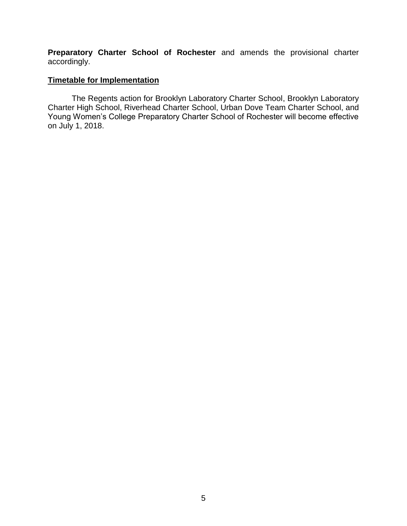**Preparatory Charter School of Rochester** and amends the provisional charter accordingly.

## **Timetable for Implementation**

The Regents action for Brooklyn Laboratory Charter School, Brooklyn Laboratory Charter High School, Riverhead Charter School, Urban Dove Team Charter School, and Young Women's College Preparatory Charter School of Rochester will become effective on July 1, 2018.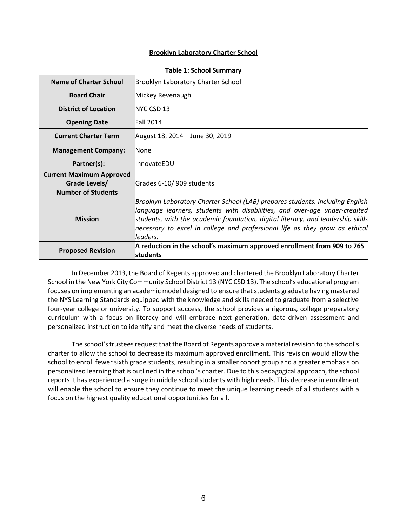#### **Brooklyn Laboratory Charter School**

| <b>Name of Charter School</b>                                                 | Brooklyn Laboratory Charter School                                                                                                                                                                                                                                                                                                             |
|-------------------------------------------------------------------------------|------------------------------------------------------------------------------------------------------------------------------------------------------------------------------------------------------------------------------------------------------------------------------------------------------------------------------------------------|
| <b>Board Chair</b>                                                            | Mickey Revenaugh                                                                                                                                                                                                                                                                                                                               |
| <b>District of Location</b>                                                   | NYC CSD 13                                                                                                                                                                                                                                                                                                                                     |
| <b>Opening Date</b>                                                           | Fall 2014                                                                                                                                                                                                                                                                                                                                      |
| <b>Current Charter Term</b>                                                   | August 18, 2014 – June 30, 2019                                                                                                                                                                                                                                                                                                                |
| <b>Management Company:</b>                                                    | <b>None</b>                                                                                                                                                                                                                                                                                                                                    |
| Partner(s):                                                                   | <b>InnovateEDU</b>                                                                                                                                                                                                                                                                                                                             |
| <b>Current Maximum Approved</b><br>Grade Levels/<br><b>Number of Students</b> | Grades 6-10/909 students                                                                                                                                                                                                                                                                                                                       |
| <b>Mission</b>                                                                | Brooklyn Laboratory Charter School (LAB) prepares students, including English<br>language learners, students with disabilities, and over-age under-credited<br>students, with the academic foundation, digital literacy, and leadership skills $\,$<br>necessary to excel in college and professional life as they grow as ethical<br>leaders. |
| <b>Proposed Revision</b>                                                      | A reduction in the school's maximum approved enrollment from 909 to 765<br>students                                                                                                                                                                                                                                                            |

#### **Table 1: School Summary**

In December 2013, the Board of Regents approved and chartered the Brooklyn Laboratory Charter School in the New York City Community School District 13 (NYC CSD 13). The school's educational program focuses on implementing an academic model designed to ensure that students graduate having mastered the NYS Learning Standards equipped with the knowledge and skills needed to graduate from a selective four-year college or university. To support success, the school provides a rigorous, college preparatory curriculum with a focus on literacy and will embrace next generation, data-driven assessment and personalized instruction to identify and meet the diverse needs of students.

The school's trustees request that the Board of Regents approve a material revision to the school's charter to allow the school to decrease its maximum approved enrollment. This revision would allow the school to enroll fewer sixth grade students, resulting in a smaller cohort group and a greater emphasis on personalized learning that is outlined in the school's charter. Due to this pedagogical approach, the school reports it has experienced a surge in middle school students with high needs. This decrease in enrollment will enable the school to ensure they continue to meet the unique learning needs of all students with a focus on the highest quality educational opportunities for all.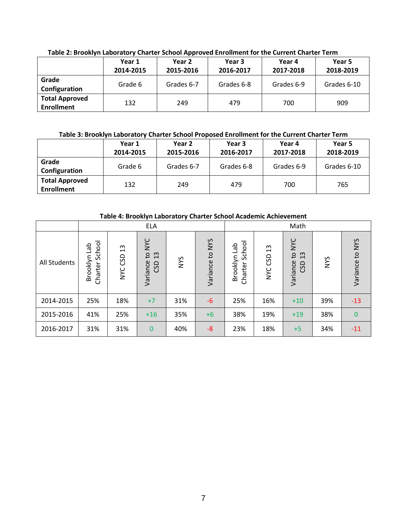|                                            | Year 1<br>2014-2015 | Year 2<br>2015-2016 | Year 3<br>2016-2017 | Year 4<br>2017-2018 | Year 5<br>2018-2019 |
|--------------------------------------------|---------------------|---------------------|---------------------|---------------------|---------------------|
| Grade<br>Configuration                     | Grade 6             | Grades 6-7          | Grades 6-8          | Grades 6-9          | Grades 6-10         |
| <b>Total Approved</b><br><b>Enrollment</b> | 132                 | 249                 | 479                 | 700                 | 909                 |

**Table 2: Brooklyn Laboratory Charter School Approved Enrollment for the Current Charter Term**

### **Table 3: Brooklyn Laboratory Charter School Proposed Enrollment for the Current Charter Term**

|                                            | Year 1<br>2014-2015 | Year 2<br>2015-2016 | Year 3<br>2016-2017 | Year 4<br>2017-2018 | Year 5<br>2018-2019 |
|--------------------------------------------|---------------------|---------------------|---------------------|---------------------|---------------------|
| Grade<br>Configuration                     | Grade 6             | Grades 6-7          | Grades 6-8          | Grades 6-9          | Grades 6-10         |
| <b>Total Approved</b><br><b>Enrollment</b> | 132                 | 249                 | 479                 | 700                 | 765                 |

| Table 4. Drugin Laboratory Charler School Academic Achievement |                                      |                                            |                                                       |            |                                        |                                   |                                    |                                                     |            |                 |
|----------------------------------------------------------------|--------------------------------------|--------------------------------------------|-------------------------------------------------------|------------|----------------------------------------|-----------------------------------|------------------------------------|-----------------------------------------------------|------------|-----------------|
|                                                                | <b>ELA</b>                           |                                            |                                                       |            | Math                                   |                                   |                                    |                                                     |            |                 |
| <b>All Students</b>                                            | School<br>del<br>Brooklyn<br>Charter | $\mathfrak{u}$<br><b>GSD</b><br><b>SAN</b> | <b>NAC</b><br>13<br>$\mathsf{c}_1$<br>Variance<br>CSD | <b>SAN</b> | <b>NYS</b><br>$\mathbf{c}$<br>Variance | School<br>Brooklyn Lab<br>Charter | $\frac{2}{3}$<br>GSD<br><b>NYC</b> | <b>NYC</b><br>$\mathbf{c}$<br>13<br>Variance<br>GSD | <b>SAM</b> | Variance to NYS |
| 2014-2015                                                      | 25%                                  | 18%                                        | $+7$                                                  | 31%        | $-6$                                   | 25%                               | 16%                                | $+10$                                               | 39%        | $-13$           |
| 2015-2016                                                      | 41%                                  | 25%                                        | $+16$                                                 | 35%        | $+6$                                   | 38%                               | 19%                                | $+19$                                               | 38%        | $\bf{0}$        |
| 2016-2017                                                      | 31%                                  | 31%                                        | $\mathbf{0}$                                          | 40%        | $-8$                                   | 23%                               | 18%                                | $+5$                                                | 34%        | -11             |

**Table 4: Brooklyn Laboratory Charter School Academic Achievement**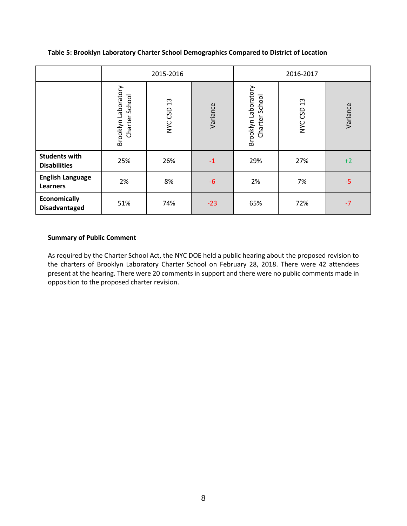**Table 5: Brooklyn Laboratory Charter School Demographics Compared to District of Location**

|                                             |                                           | 2015-2016     |          | 2016-2017                             |               |          |
|---------------------------------------------|-------------------------------------------|---------------|----------|---------------------------------------|---------------|----------|
|                                             | Brooklyn Laboratory<br>School<br>Charter: | 13<br>NYC CSD | Variance | Brooklyn Laboratory<br>Charter School | 13<br>NYC CSD | Variance |
| <b>Students with</b><br><b>Disabilities</b> | 25%                                       | 26%           | $-1$     | 29%                                   | 27%           | $+2$     |
| <b>English Language</b><br>Learners         | 2%                                        | 8%            | $-6$     | 2%                                    | 7%            | $-5$     |
| Economically<br><b>Disadvantaged</b>        | 51%                                       | 74%           | $-23$    | 65%                                   | 72%           | $-7$     |

### **Summary of Public Comment**

As required by the Charter School Act, the NYC DOE held a public hearing about the proposed revision to the charters of Brooklyn Laboratory Charter School on February 28, 2018. There were 42 attendees present at the hearing. There were 20 comments in support and there were no public comments made in opposition to the proposed charter revision.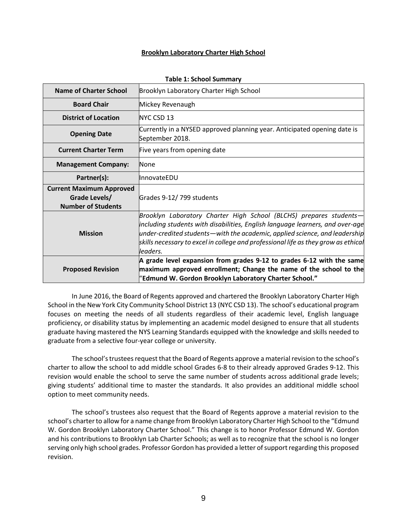#### **Brooklyn Laboratory Charter High School**

| 1991 - 1: JUNUAI JUNINIU V                                                    |                                                                                                                                                                                                                                                                                                                                          |  |  |  |
|-------------------------------------------------------------------------------|------------------------------------------------------------------------------------------------------------------------------------------------------------------------------------------------------------------------------------------------------------------------------------------------------------------------------------------|--|--|--|
| <b>Name of Charter School</b>                                                 | Brooklyn Laboratory Charter High School                                                                                                                                                                                                                                                                                                  |  |  |  |
| <b>Board Chair</b>                                                            | Mickey Revenaugh                                                                                                                                                                                                                                                                                                                         |  |  |  |
| <b>District of Location</b>                                                   | NYC CSD 13                                                                                                                                                                                                                                                                                                                               |  |  |  |
| <b>Opening Date</b>                                                           | Currently in a NYSED approved planning year. Anticipated opening date is<br>September 2018.                                                                                                                                                                                                                                              |  |  |  |
| <b>Current Charter Term</b>                                                   | Five years from opening date                                                                                                                                                                                                                                                                                                             |  |  |  |
| <b>Management Company:</b>                                                    | None                                                                                                                                                                                                                                                                                                                                     |  |  |  |
| Partner(s):                                                                   | <b>InnovateEDU</b>                                                                                                                                                                                                                                                                                                                       |  |  |  |
| <b>Current Maximum Approved</b><br>Grade Levels/<br><b>Number of Students</b> | Grades 9-12/799 students                                                                                                                                                                                                                                                                                                                 |  |  |  |
| <b>Mission</b>                                                                | Brooklyn Laboratory Charter High School (BLCHS) prepares students-<br>including students with disabilities, English language learners, and over-age<br>$\mu$ nder-credited students—with the academic, applied science, and leadership<br>skills necessary to excel in college and professional life as they grow as ethical<br>leaders. |  |  |  |
| <b>Proposed Revision</b>                                                      | A grade level expansion from grades 9-12 to grades 6-12 with the same<br>maximum approved enrollment; Change the name of the school to the<br>"Edmund W. Gordon Brooklyn Laboratory Charter School."                                                                                                                                     |  |  |  |

**Table 1: School Summary**

In June 2016, the Board of Regents approved and chartered the Brooklyn Laboratory Charter High School in the New York City Community School District 13 (NYC CSD 13). The school's educational program focuses on meeting the needs of all students regardless of their academic level, English language proficiency, or disability status by implementing an academic model designed to ensure that all students graduate having mastered the NYS Learning Standards equipped with the knowledge and skills needed to graduate from a selective four-year college or university.

The school's trustees request that the Board of Regents approve a material revision to the school's charter to allow the school to add middle school Grades 6-8 to their already approved Grades 9-12. This revision would enable the school to serve the same number of students across additional grade levels; giving students' additional time to master the standards. It also provides an additional middle school option to meet community needs.

The school's trustees also request that the Board of Regents approve a material revision to the school's charter to allow for a name change from Brooklyn Laboratory Charter High School to the "Edmund W. Gordon Brooklyn Laboratory Charter School." This change is to honor Professor Edmund W. Gordon and his contributions to Brooklyn Lab Charter Schools; as well as to recognize that the school is no longer serving only high school grades. Professor Gordon has provided a letter of support regarding this proposed revision.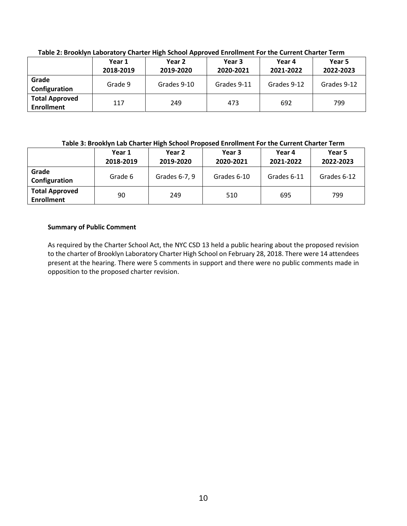|                                            | Year 1<br>2018-2019 | Year 2<br>2019-2020 | Year 3<br>2020-2021 | Year 4<br>2021-2022 | Year 5<br>2022-2023 |
|--------------------------------------------|---------------------|---------------------|---------------------|---------------------|---------------------|
| Grade<br>Configuration                     | Grade 9             | Grades 9-10         | Grades 9-11         | Grades 9-12         | Grades 9-12         |
| <b>Total Approved</b><br><b>Enrollment</b> | 117                 | 249                 | 473                 | 692                 | 799                 |

**Table 2: Brooklyn Laboratory Charter High School Approved Enrollment For the Current Charter Term**

### **Table 3: Brooklyn Lab Charter High School Proposed Enrollment For the Current Charter Term**

|                                            | Year 1<br>2018-2019 | Year 2<br>2019-2020 | Year 3<br>2020-2021 | Year 4<br>2021-2022 | Year 5<br>2022-2023 |
|--------------------------------------------|---------------------|---------------------|---------------------|---------------------|---------------------|
| Grade<br>Configuration                     | Grade 6             | Grades 6-7, 9       | Grades 6-10         | Grades 6-11         | Grades 6-12         |
| <b>Total Approved</b><br><b>Enrollment</b> | 90                  | 249                 | 510                 | 695                 | 799                 |

### **Summary of Public Comment**

As required by the Charter School Act, the NYC CSD 13 held a public hearing about the proposed revision to the charter of Brooklyn Laboratory Charter High School on February 28, 2018. There were 14 attendees present at the hearing. There were 5 comments in support and there were no public comments made in opposition to the proposed charter revision.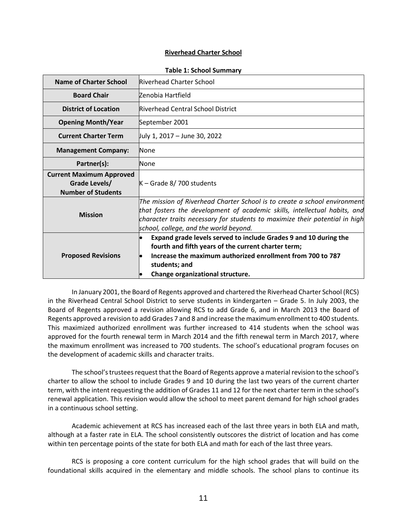#### **Riverhead Charter School**

| <b>Name of Charter School</b>                                                 | Riverhead Charter School                                                                                                                                                                                                                                                        |
|-------------------------------------------------------------------------------|---------------------------------------------------------------------------------------------------------------------------------------------------------------------------------------------------------------------------------------------------------------------------------|
| <b>Board Chair</b>                                                            | Zenobia Hartfield                                                                                                                                                                                                                                                               |
| <b>District of Location</b>                                                   | Riverhead Central School District                                                                                                                                                                                                                                               |
| <b>Opening Month/Year</b>                                                     | September 2001                                                                                                                                                                                                                                                                  |
| <b>Current Charter Term</b>                                                   | July 1, 2017 – June 30, 2022                                                                                                                                                                                                                                                    |
| <b>Management Company:</b>                                                    | None                                                                                                                                                                                                                                                                            |
| Partner(s):                                                                   | None                                                                                                                                                                                                                                                                            |
| <b>Current Maximum Approved</b><br>Grade Levels/<br><b>Number of Students</b> | $K -$ Grade 8/700 students                                                                                                                                                                                                                                                      |
| <b>Mission</b>                                                                | The mission of Riverhead Charter School is to create a school environment<br>that fosters the development of academic skills, intellectual habits, and<br>character traits necessary for students to maximize their potential in high<br>school, college, and the world beyond. |
| <b>Proposed Revisions</b>                                                     | Expand grade levels served to include Grades 9 and 10 during the<br>fourth and fifth years of the current charter term;<br>Increase the maximum authorized enrollment from 700 to 787<br>students; and<br>Change organizational structure.                                      |

**Table 1: School Summary**

In January 2001, the Board of Regents approved and chartered the Riverhead Charter School (RCS) in the Riverhead Central School District to serve students in kindergarten – Grade 5. In July 2003, the Board of Regents approved a revision allowing RCS to add Grade 6, and in March 2013 the Board of Regents approved a revision to add Grades 7 and 8 and increase the maximum enrollment to 400 students. This maximized authorized enrollment was further increased to 414 students when the school was approved for the fourth renewal term in March 2014 and the fifth renewal term in March 2017, where the maximum enrollment was increased to 700 students. The school's educational program focuses on the development of academic skills and character traits.

The school's trustees request that the Board of Regents approve a material revision to the school's charter to allow the school to include Grades 9 and 10 during the last two years of the current charter term, with the intent requesting the addition of Grades 11 and 12 for the next charter term in the school's renewal application. This revision would allow the school to meet parent demand for high school grades in a continuous school setting.

Academic achievement at RCS has increased each of the last three years in both ELA and math, although at a faster rate in ELA. The school consistently outscores the district of location and has come within ten percentage points of the state for both ELA and math for each of the last three years.

RCS is proposing a core content curriculum for the high school grades that will build on the foundational skills acquired in the elementary and middle schools. The school plans to continue its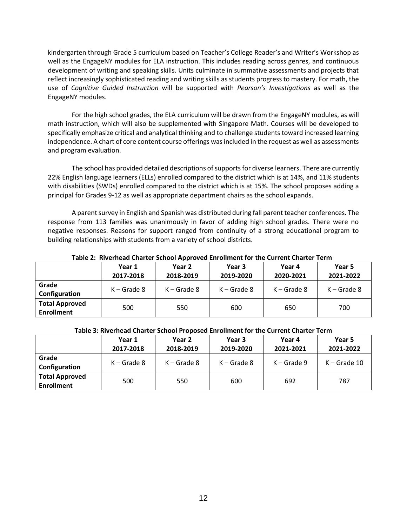kindergarten through Grade 5 curriculum based on Teacher's College Reader's and Writer's Workshop as well as the EngageNY modules for ELA instruction. This includes reading across genres, and continuous development of writing and speaking skills. Units culminate in summative assessments and projects that reflect increasingly sophisticated reading and writing skills as students progress to mastery. For math, the use of *Cognitive Guided Instruction* will be supported with *Pearson's Investigations* as well as the EngageNY modules.

For the high school grades, the ELA curriculum will be drawn from the EngageNY modules, as will math instruction, which will also be supplemented with Singapore Math. Courses will be developed to specifically emphasize critical and analytical thinking and to challenge students toward increased learning independence. A chart of core content course offerings was included in the request as well as assessments and program evaluation.

The school has provided detailed descriptions of supports for diverse learners. There are currently 22% English language learners (ELLs) enrolled compared to the district which is at 14%, and 11% students with disabilities (SWDs) enrolled compared to the district which is at 15%. The school proposes adding a principal for Grades 9-12 as well as appropriate department chairs as the school expands.

A parent survey in English and Spanish was distributed during fall parent teacher conferences. The response from 113 families was unanimously in favor of adding high school grades. There were no negative responses. Reasons for support ranged from continuity of a strong educational program to building relationships with students from a variety of school districts.

|                                            | Year 1<br>2017-2018 | Year 2<br>2018-2019 | Year 3<br>2019-2020 | Year 4<br>2020-2021 | Year 5<br>2021-2022 |  |  |  |
|--------------------------------------------|---------------------|---------------------|---------------------|---------------------|---------------------|--|--|--|
| Grade<br>Configuration                     | $K -$ Grade 8       | $K -$ Grade 8       | $K -$ Grade 8       | $K -$ Grade 8       | $K -$ Grade 8       |  |  |  |
| <b>Total Approved</b><br><b>Enrollment</b> | 500                 | 550                 | 600                 | 650                 | 700                 |  |  |  |

#### **Table 2: Riverhead Charter School Approved Enrollment for the Current Charter Term**

#### **Table 3: Riverhead Charter School Proposed Enrollment for the Current Charter Term**

|                       | Year 1        | Year 2        | Year 3        | Year 4        | Year 5         |
|-----------------------|---------------|---------------|---------------|---------------|----------------|
|                       | 2017-2018     | 2018-2019     | 2019-2020     | 2021-2021     | 2021-2022      |
| Grade                 | $K -$ Grade 8 | $K -$ Grade 8 | $K -$ Grade 8 | $K -$ Grade 9 | $K -$ Grade 10 |
| Configuration         |               |               |               |               |                |
| <b>Total Approved</b> | 500           |               |               | 692           | 787            |
| <b>Enrollment</b>     |               | 550           | 600           |               |                |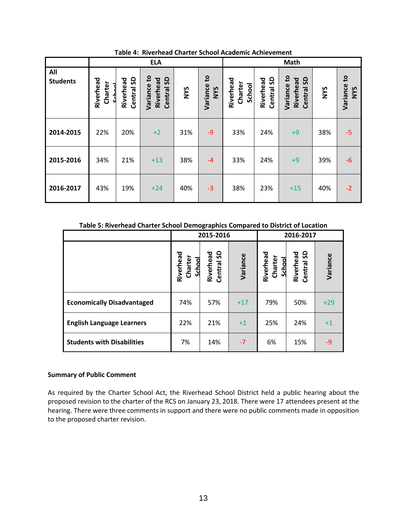|                        |                              | <b>ELA</b>                        |                                                 |            |                              | Math                           |                                  |                                                  |            |                                        |
|------------------------|------------------------------|-----------------------------------|-------------------------------------------------|------------|------------------------------|--------------------------------|----------------------------------|--------------------------------------------------|------------|----------------------------------------|
| All<br><b>Students</b> | Riverhead<br>Charter<br>ميلئ | <u>ငွ</u><br>Riverhead<br>Central | Variance to<br><b>G</b><br>Riverhead<br>Central | <b>NYS</b> | S,<br>Variance<br><b>SAN</b> | Riverhead<br>Charter<br>School | <b>G</b><br>Riverhead<br>Central | Variance to<br><u>ငွ</u><br>Riverhead<br>Central | <b>SAM</b> | $\mathbf{c}$<br>Variance<br><b>SAM</b> |
| 2014-2015              | 22%                          | 20%                               | $+2$                                            | 31%        | $-9$                         | 33%                            | 24%                              | $+9$                                             | 38%        | $-5$                                   |
| 2015-2016              | 34%                          | 21%                               | $+13$                                           | 38%        | $-4$                         | 33%                            | 24%                              | $+9$                                             | 39%        | $-6$                                   |
| 2016-2017              | 43%                          | 19%                               | $+24$                                           | 40%        | $-3$                         | 38%                            | 23%                              | $+15$                                            | 40%        | $-2$                                   |

**Table 4: Riverhead Charter School Academic Achievement**

#### **Table 5: Riverhead Charter School Demographics Compared to District of Location**

|                                   |                                | 2015-2016                      |          | 2016-2017                      |                         |          |
|-----------------------------------|--------------------------------|--------------------------------|----------|--------------------------------|-------------------------|----------|
|                                   | Riverhead<br>Charter<br>School | <b>Riverhead</b><br>Central SD | Variance | Riverhead<br>Charter<br>School | Central SD<br>Riverhead | Variance |
| <b>Economically Disadvantaged</b> | 74%                            | 57%                            | $+17$    | 79%                            | 50%                     | $+29$    |
| <b>English Language Learners</b>  | 22%                            | 21%                            | $+1$     | 25%                            | 24%                     | $+1$     |
| <b>Students with Disabilities</b> | 7%                             | 14%                            | $-7$     | 6%                             | 15%                     | -9       |

#### **Summary of Public Comment**

As required by the Charter School Act, the Riverhead School District held a public hearing about the proposed revision to the charter of the RCS on January 23, 2018. There were 17 attendees present at the hearing. There were three comments in support and there were no public comments made in opposition to the proposed charter revision.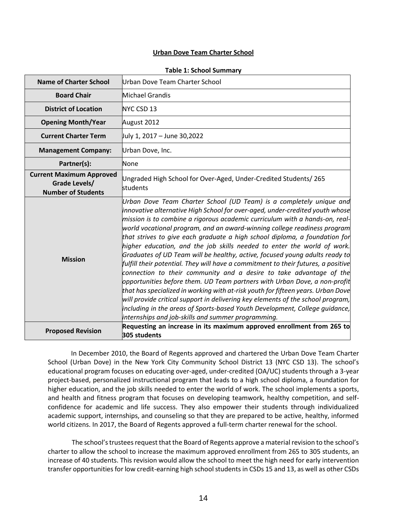#### **Urban Dove Team Charter School**

| <b>Name of Charter School</b>                                                 | Urban Dove Team Charter School                                                                                                                                                                                                                                                                                                                                                                                                                                                                                                                                                                                                                                                                                                                                                                                                                                                                                                                                                                                                                                                                                  |
|-------------------------------------------------------------------------------|-----------------------------------------------------------------------------------------------------------------------------------------------------------------------------------------------------------------------------------------------------------------------------------------------------------------------------------------------------------------------------------------------------------------------------------------------------------------------------------------------------------------------------------------------------------------------------------------------------------------------------------------------------------------------------------------------------------------------------------------------------------------------------------------------------------------------------------------------------------------------------------------------------------------------------------------------------------------------------------------------------------------------------------------------------------------------------------------------------------------|
| <b>Board Chair</b>                                                            | Michael Grandis                                                                                                                                                                                                                                                                                                                                                                                                                                                                                                                                                                                                                                                                                                                                                                                                                                                                                                                                                                                                                                                                                                 |
| <b>District of Location</b>                                                   | NYC CSD 13                                                                                                                                                                                                                                                                                                                                                                                                                                                                                                                                                                                                                                                                                                                                                                                                                                                                                                                                                                                                                                                                                                      |
| <b>Opening Month/Year</b>                                                     | August 2012                                                                                                                                                                                                                                                                                                                                                                                                                                                                                                                                                                                                                                                                                                                                                                                                                                                                                                                                                                                                                                                                                                     |
| <b>Current Charter Term</b>                                                   | July 1, 2017 - June 30,2022                                                                                                                                                                                                                                                                                                                                                                                                                                                                                                                                                                                                                                                                                                                                                                                                                                                                                                                                                                                                                                                                                     |
| <b>Management Company:</b>                                                    | Urban Dove, Inc.                                                                                                                                                                                                                                                                                                                                                                                                                                                                                                                                                                                                                                                                                                                                                                                                                                                                                                                                                                                                                                                                                                |
| Partner(s):                                                                   | None                                                                                                                                                                                                                                                                                                                                                                                                                                                                                                                                                                                                                                                                                                                                                                                                                                                                                                                                                                                                                                                                                                            |
| <b>Current Maximum Approved</b><br>Grade Levels/<br><b>Number of Students</b> | Ungraded High School for Over-Aged, Under-Credited Students/265<br>students                                                                                                                                                                                                                                                                                                                                                                                                                                                                                                                                                                                                                                                                                                                                                                                                                                                                                                                                                                                                                                     |
| <b>Mission</b>                                                                | Urban Dove Team Charter School (UD Team) is a completely unique and<br>innovative alternative High School for over-aged, under-credited youth whose<br>mission is to combine a rigorous academic curriculum with a hands-on, real-<br>$ $ world vocational program, and an award-winning college readiness program<br>that strives to give each graduate a high school diploma, a foundation for<br>higher education, and the job skills needed to enter the world of work.<br>Graduates of UD Team will be healthy, active, focused young adults ready to<br>fulfill their potential. They will have a commitment to their futures, a positive<br>connection to their community and a desire to take advantage of the<br>opportunities before them. UD Team partners with Urban Dove, a non-profit<br>that has specialized in working with at-risk youth for fifteen years. Urban Dove<br>will provide critical support in delivering key elements of the school program,<br>including in the areas of Sports-based Youth Development, College guidance,<br>internships and job-skills and summer programming. |
| <b>Proposed Revision</b>                                                      | Requesting an increase in its maximum approved enrollment from 265 to<br>305 students                                                                                                                                                                                                                                                                                                                                                                                                                                                                                                                                                                                                                                                                                                                                                                                                                                                                                                                                                                                                                           |

#### **Table 1: School Summary**

 In December 2010, the Board of Regents approved and chartered the Urban Dove Team Charter School (Urban Dove) in the New York City Community School District 13 (NYC CSD 13). The school's educational program focuses on educating over-aged, under-credited (OA/UC) students through a 3-year project-based, personalized instructional program that leads to a high school diploma, a foundation for higher education, and the job skills needed to enter the world of work. The school implements a sports, and health and fitness program that focuses on developing teamwork, healthy competition, and selfconfidence for academic and life success. They also empower their students through individualized academic support, internships, and counseling so that they are prepared to be active, healthy, informed world citizens. In 2017, the Board of Regents approved a full-term charter renewal for the school.

The school's trustees request that the Board of Regents approve a material revision to the school's charter to allow the school to increase the maximum approved enrollment from 265 to 305 students, an increase of 40 students. This revision would allow the school to meet the high need for early intervention transfer opportunities for low credit-earning high school studentsin CSDs 15 and 13, as well as other CSDs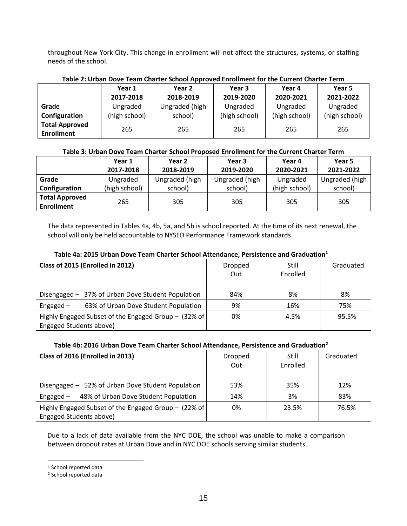throughout New York City. This change in enrollment will not affect the structures, systems, or staffing needs of the school.

| Table 2. Orban Dove Team Charler School Approved Enforment for the Current Charler Term |               |                |               |               |               |  |  |
|-----------------------------------------------------------------------------------------|---------------|----------------|---------------|---------------|---------------|--|--|
|                                                                                         | Year 1        | Year 2         | Year 3        | Year 4        | Year 5        |  |  |
|                                                                                         | 2017-2018     | 2018-2019      | 2019-2020     | 2020-2021     | 2021-2022     |  |  |
| Grade                                                                                   | Ungraded      | Ungraded (high | Ungraded      | Ungraded      | Ungraded      |  |  |
| Configuration                                                                           | (high school) | school)        | (high school) | (high school) | (high school) |  |  |
| <b>Total Approved</b><br><b>Enrollment</b>                                              | 265           | 265            | 265           | 265           | 265           |  |  |
|                                                                                         |               |                |               |               |               |  |  |

### **Table 2: Urban Dove Team Charter School Approved Enrollment for the Current Charter Term**

### **Table 3: Urban Dove Team Charter School Proposed Enrollment for the Current Charter Term**

|                                            | Year 1        | Year 2         |                | Year 4        | Year 5         |
|--------------------------------------------|---------------|----------------|----------------|---------------|----------------|
|                                            | 2017-2018     | 2018-2019      | 2019-2020      | 2020-2021     | 2021-2022      |
| Grade                                      | Ungraded      | Ungraded (high | Ungraded (high | Ungraded      | Ungraded (high |
| Configuration                              | (high school) | school)        | school)        | (high school) | school)        |
| <b>Total Approved</b><br><b>Enrollment</b> | 265           | 305            | 305            | 305           | 305            |

The data represented in Tables 4a, 4b, 5a, and 5b is school reported. At the time of its next renewal, the school will only be held accountable to NYSED Performance Framework standards.

### **Table 4a: 2015 Urban Dove Team Charter School Attendance, Persistence and Graduation<sup>1</sup>**

| Class of 2015 (Enrolled in 2012)                                                | Dropped<br>Out | Still<br>Enrolled | Graduated |
|---------------------------------------------------------------------------------|----------------|-------------------|-----------|
| Disengaged - 37% of Urban Dove Student Population                               | 84%            | 8%                | 8%        |
| 63% of Urban Dove Student Population<br>Engaged $-$                             | 9%             | 16%               | 75%       |
| Highly Engaged Subset of the Engaged Group - (32% of<br>Engaged Students above) | 0%             | 4.5%              | 95.5%     |

#### **Table 4b: 2016 Urban Dove Team Charter School Attendance, Persistence and Graduation<sup>2</sup>**

| Class of 2016 (Enrolled in 2013)                                                | Dropped<br>Out | Still<br>Enrolled | Graduated |
|---------------------------------------------------------------------------------|----------------|-------------------|-----------|
| Disengaged - 52% of Urban Dove Student Population                               | 53%            | 35%               | 12%       |
| 48% of Urban Dove Student Population<br>Engaged –                               | 14%            | 3%                | 83%       |
| Highly Engaged Subset of the Engaged Group - (22% of<br>Engaged Students above) | 0%             | 23.5%             | 76.5%     |

Due to a lack of data available from the NYC DOE, the school was unable to make a comparison between dropout rates at Urban Dove and in NYC DOE schools serving similar students.

 $\overline{a}$ 

<sup>&</sup>lt;sup>1</sup> School reported data

<sup>2</sup> School reported data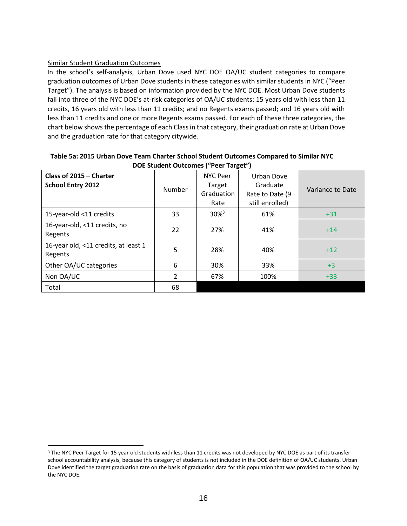### Similar Student Graduation Outcomes

 $\overline{a}$ 

In the school's self-analysis, Urban Dove used NYC DOE OA/UC student categories to compare graduation outcomes of Urban Dove students in these categories with similar students in NYC ("Peer Target"). The analysis is based on information provided by the NYC DOE. Most Urban Dove students fall into three of the NYC DOE's at-risk categories of OA/UC students: 15 years old with less than 11 credits, 16 years old with less than 11 credits; and no Regents exams passed; and 16 years old with less than 11 credits and one or more Regents exams passed. For each of these three categories, the chart below shows the percentage of each Class in that category, their graduation rate at Urban Dove and the graduation rate for that category citywide.

| Class of 2015 - Charter<br><b>School Entry 2012</b> | Number         | <b>NYC Peer</b><br>Target<br>Graduation<br>Rate | Urban Dove<br>Graduate<br>Rate to Date (9<br>still enrolled) | Variance to Date |
|-----------------------------------------------------|----------------|-------------------------------------------------|--------------------------------------------------------------|------------------|
| 15-year-old <11 credits                             | 33             | $30\%$ <sup>3</sup>                             | 61%                                                          | $+31$            |
| 16-year-old, <11 credits, no<br>Regents             | 22             | 27%                                             | 41%                                                          | $+14$            |
| 16-year old, <11 credits, at least 1<br>Regents     | 5              | 28%                                             | 40%                                                          | $+12$            |
| Other OA/UC categories                              | 6              | 30%                                             | 33%                                                          | $+3$             |
| Non OA/UC                                           | $\overline{2}$ | 67%                                             | 100%                                                         | $+33$            |
| Total                                               | 68             |                                                 |                                                              |                  |

#### **Table 5a: 2015 Urban Dove Team Charter School Student Outcomes Compared to Similar NYC DOE Student Outcomes ("Peer Target")**

<sup>&</sup>lt;sup>3</sup> The NYC Peer Target for 15 year old students with less than 11 credits was not developed by NYC DOE as part of its transfer school accountability analysis, because this category of students is not included in the DOE definition of OA/UC students. Urban Dove identified the target graduation rate on the basis of graduation data for this population that was provided to the school by the NYC DOE.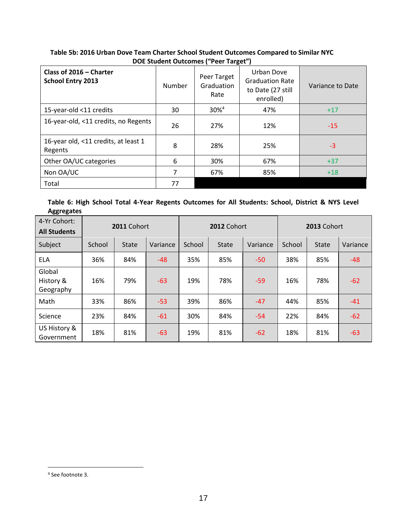| <b>DUL Student Outcomes</b> (Feel Target)           |        |                                   |                                                                        |                  |  |  |
|-----------------------------------------------------|--------|-----------------------------------|------------------------------------------------------------------------|------------------|--|--|
| Class of 2016 - Charter<br><b>School Entry 2013</b> | Number | Peer Target<br>Graduation<br>Rate | Urban Dove<br><b>Graduation Rate</b><br>to Date (27 still<br>enrolled) | Variance to Date |  |  |
| 15-year-old <11 credits                             | 30     | 30% <sup>4</sup>                  | 47%                                                                    | $+17$            |  |  |
| 16-year-old, <11 credits, no Regents                | 26     | 27%                               | 12%                                                                    | $-15$            |  |  |
| 16-year old, <11 credits, at least 1<br>Regents     | 8      | 28%                               | 25%                                                                    | $-3$             |  |  |
| Other OA/UC categories                              | 6      | 30%                               | 67%                                                                    | $+37$            |  |  |
| Non OA/UC                                           | 7      | 67%                               | 85%                                                                    | $+18$            |  |  |
| Total                                               | 77     |                                   |                                                                        |                  |  |  |

### **Table 5b: 2016 Urban Dove Team Charter School Student Outcomes Compared to Similar NYC DOE Student Outcomes ("Peer Target")**

### **Table 6: High School Total 4-Year Regents Outcomes for All Students: School, District & NYS Level Aggregates**

| 00 - O                              |             |              |          |             |       |          |             |              |          |
|-------------------------------------|-------------|--------------|----------|-------------|-------|----------|-------------|--------------|----------|
| 4-Yr Cohort:<br><b>All Students</b> | 2011 Cohort |              |          | 2012 Cohort |       |          | 2013 Cohort |              |          |
| Subject                             | School      | <b>State</b> | Variance | School      | State | Variance | School      | <b>State</b> | Variance |
| <b>ELA</b>                          | 36%         | 84%          | $-48$    | 35%         | 85%   | $-50$    | 38%         | 85%          | $-48$    |
| Global<br>History &<br>Geography    | 16%         | 79%          | $-63$    | 19%         | 78%   | $-59$    | 16%         | 78%          | $-62$    |
| Math                                | 33%         | 86%          | $-53$    | 39%         | 86%   | $-47$    | 44%         | 85%          | $-41$    |
| Science                             | 23%         | 84%          | $-61$    | 30%         | 84%   | $-54$    | 22%         | 84%          | $-62$    |
| US History &<br>Government          | 18%         | 81%          | $-63$    | 19%         | 81%   | $-62$    | 18%         | 81%          | $-63$    |

 $\overline{a}$ 

<sup>4</sup> See footnote 3.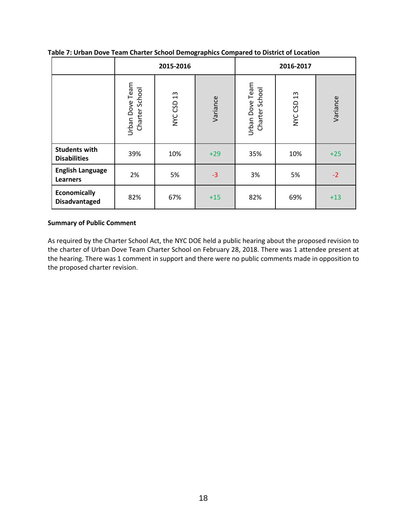|                                             |                                   | 2015-2016     |          | 2016-2017                         |            |          |
|---------------------------------------------|-----------------------------------|---------------|----------|-----------------------------------|------------|----------|
|                                             | Urban Dove Team<br>Charter School | 13<br>NYC CSD | Variance | Urban Dove Team<br>Charter School | NYC CSD 13 | Variance |
| <b>Students with</b><br><b>Disabilities</b> | 39%                               | 10%           | $+29$    | 35%                               | 10%        | $+25$    |
| <b>English Language</b><br><b>Learners</b>  | 2%                                | 5%            | $-3$     | 3%                                | 5%         | $-2$     |
| <b>Economically</b><br><b>Disadvantaged</b> | 82%                               | 67%           | $+15$    | 82%                               | 69%        | $+13$    |

**Table 7: Urban Dove Team Charter School Demographics Compared to District of Location**

### **Summary of Public Comment**

As required by the Charter School Act, the NYC DOE held a public hearing about the proposed revision to the charter of Urban Dove Team Charter School on February 28, 2018. There was 1 attendee present at the hearing. There was 1 comment in support and there were no public comments made in opposition to the proposed charter revision.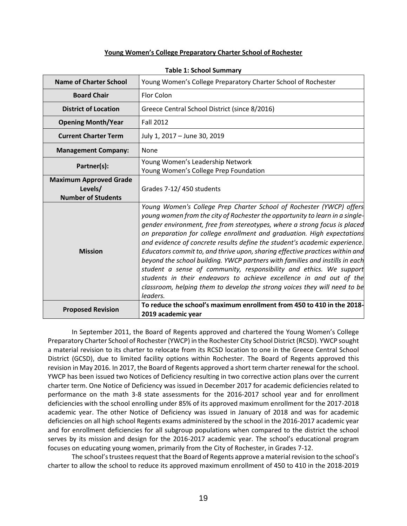#### **Young Women's College Preparatory Charter School of Rochester**

| <b>Name of Charter School</b>                                         | Young Women's College Preparatory Charter School of Rochester                                                                                                                                                                                                                                                                                                                                                                                                                                                                                                                                                                                                                                                                                                                                     |
|-----------------------------------------------------------------------|---------------------------------------------------------------------------------------------------------------------------------------------------------------------------------------------------------------------------------------------------------------------------------------------------------------------------------------------------------------------------------------------------------------------------------------------------------------------------------------------------------------------------------------------------------------------------------------------------------------------------------------------------------------------------------------------------------------------------------------------------------------------------------------------------|
| <b>Board Chair</b>                                                    | <b>Flor Colon</b>                                                                                                                                                                                                                                                                                                                                                                                                                                                                                                                                                                                                                                                                                                                                                                                 |
| <b>District of Location</b>                                           | Greece Central School District (since 8/2016)                                                                                                                                                                                                                                                                                                                                                                                                                                                                                                                                                                                                                                                                                                                                                     |
| <b>Opening Month/Year</b>                                             | <b>Fall 2012</b>                                                                                                                                                                                                                                                                                                                                                                                                                                                                                                                                                                                                                                                                                                                                                                                  |
| <b>Current Charter Term</b>                                           | July 1, 2017 - June 30, 2019                                                                                                                                                                                                                                                                                                                                                                                                                                                                                                                                                                                                                                                                                                                                                                      |
| <b>Management Company:</b>                                            | None                                                                                                                                                                                                                                                                                                                                                                                                                                                                                                                                                                                                                                                                                                                                                                                              |
| Partner(s):                                                           | Young Women's Leadership Network<br>Young Women's College Prep Foundation                                                                                                                                                                                                                                                                                                                                                                                                                                                                                                                                                                                                                                                                                                                         |
| <b>Maximum Approved Grade</b><br>Levels/<br><b>Number of Students</b> | Grades 7-12/450 students                                                                                                                                                                                                                                                                                                                                                                                                                                                                                                                                                                                                                                                                                                                                                                          |
| <b>Mission</b>                                                        | Young Women's College Prep Charter School of Rochester (YWCP) offers<br>young women from the city of Rochester the opportunity to learn in a single-<br>gender environment, free from stereotypes, where a strong focus is placed<br>on preparation for college enrollment and graduation. High expectations<br>and evidence of concrete results define the student's academic experience.<br>Educators commit to, and thrive upon, sharing effective practices within and<br>beyond the school building. YWCP partners with families and instills in each<br>student a sense of community, responsibility and ethics. We support<br>students in their endeavors to achieve excellence in and out of the<br>classroom, helping them to develop the strong voices they will need to be<br>leaders. |
| <b>Proposed Revision</b>                                              | To reduce the school's maximum enrollment from 450 to 410 in the 2018-<br>2019 academic year                                                                                                                                                                                                                                                                                                                                                                                                                                                                                                                                                                                                                                                                                                      |

#### **Table 1: School Summary**

In September 2011, the Board of Regents approved and chartered the Young Women's College Preparatory Charter School of Rochester (YWCP) in the Rochester City School District (RCSD). YWCP sought a material revision to its charter to relocate from its RCSD location to one in the Greece Central School District (GCSD), due to limited facility options within Rochester. The Board of Regents approved this revision in May 2016. In 2017, the Board of Regents approved a short term charter renewal for the school. YWCP has been issued two Notices of Deficiency resulting in two corrective action plans over the current charter term. One Notice of Deficiency was issued in December 2017 for academic deficiencies related to performance on the math 3-8 state assessments for the 2016-2017 school year and for enrollment deficiencies with the school enrolling under 85% of its approved maximum enrollment for the 2017-2018 academic year. The other Notice of Deficiency was issued in January of 2018 and was for academic deficiencies on all high school Regents exams administered by the school in the 2016-2017 academic year and for enrollment deficiencies for all subgroup populations when compared to the district the school serves by its mission and design for the 2016-2017 academic year. The school's educational program focuses on educating young women, primarily from the City of Rochester, in Grades 7-12.

The school's trustees request that the Board of Regents approve a material revision to the school's charter to allow the school to reduce its approved maximum enrollment of 450 to 410 in the 2018-2019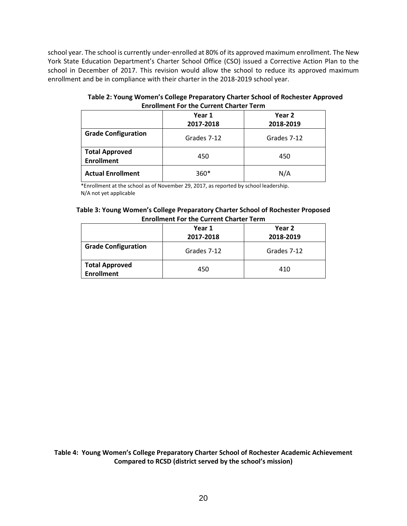school year. The school is currently under-enrolled at 80% of its approved maximum enrollment. The New York State Education Department's Charter School Office (CSO) issued a Corrective Action Plan to the school in December of 2017. This revision would allow the school to reduce its approved maximum enrollment and be in compliance with their charter in the 2018-2019 school year.

**Table 2: Young Women's College Preparatory Charter School of Rochester Approved Enrollment For the Current Charter Term**

|                                            | Year 1<br>2017-2018 | Year 2<br>2018-2019 |
|--------------------------------------------|---------------------|---------------------|
| <b>Grade Configuration</b>                 | Grades 7-12         | Grades 7-12         |
| <b>Total Approved</b><br><b>Enrollment</b> | 450                 | 450                 |
| <b>Actual Enrollment</b>                   | $360*$              | N/A                 |

\*Enrollment at the school as of November 29, 2017, as reported by school leadership. N/A not yet applicable

| Table 3: Young Women's College Preparatory Charter School of Rochester Proposed |
|---------------------------------------------------------------------------------|
| <b>Enrollment For the Current Charter Term</b>                                  |

|                                            | Year 1<br>2017-2018 | Year 2<br>2018-2019 |
|--------------------------------------------|---------------------|---------------------|
| <b>Grade Configuration</b>                 | Grades 7-12         | Grades 7-12         |
| <b>Total Approved</b><br><b>Enrollment</b> | 450                 | 410                 |

**Table 4: Young Women's College Preparatory Charter School of Rochester Academic Achievement Compared to RCSD (district served by the school's mission)**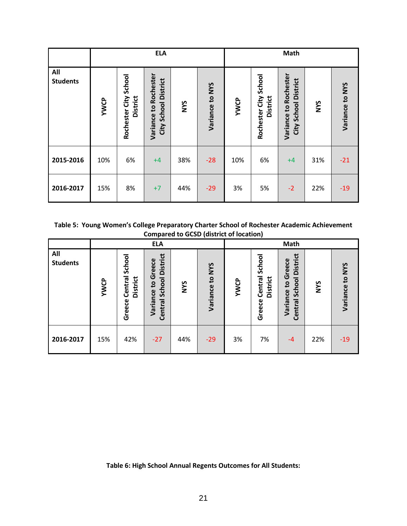|                        | <b>ELA</b>  |                                          |                                              |            |                 | <b>Math</b> |                                          |                                               |            |                 |
|------------------------|-------------|------------------------------------------|----------------------------------------------|------------|-----------------|-------------|------------------------------------------|-----------------------------------------------|------------|-----------------|
| All<br><b>Students</b> | <b>YWCP</b> | Rochester City School<br><b>District</b> | Variance to Rocheste<br>City School District | <b>SAN</b> | Variance to NYS | <b>YWCP</b> | Rochester City School<br><b>District</b> | Variance to Rochester<br>City School District | <b>SAN</b> | Variance to NYS |
| 2015-2016              | 10%         | 6%                                       | $+4$                                         | 38%        | $-28$           | 10%         | 6%                                       | $+4$                                          | 31%        | $-21$           |
| 2016-2017              | 15%         | 8%                                       | $+7$                                         | 44%        | $-29$           | 3%          | 5%                                       | $-2$                                          | 22%        | $-19$           |

**Table 5: Young Women's College Preparatory Charter School of Rochester Academic Achievement Compared to GCSD (district of location)**

|                        | <b>ELA</b>  |                                                |                                                                            |            | Math               |             |                                         |                                                                                |            |                 |
|------------------------|-------------|------------------------------------------------|----------------------------------------------------------------------------|------------|--------------------|-------------|-----------------------------------------|--------------------------------------------------------------------------------|------------|-----------------|
| All<br><b>Students</b> | <b>YWCP</b> | School<br>Central<br><b>District</b><br>Greece | <b>District</b><br>Greece<br>School<br>$\mathbf{S}$<br>Variance<br>Central | <b>NYS</b> | to NYS<br>Variance | <b>YWCP</b> | School<br>Central<br>District<br>Greece | <b>District</b><br>reece<br>ū<br>School<br>$\mathbf{c}$<br>Variance<br>Central | <b>SAM</b> | Variance to NYS |
| 2016-2017              | 15%         | 42%                                            | $-27$                                                                      | 44%        | $-29$              | 3%          | 7%                                      | $-4$                                                                           | 22%        | $-19$           |

**Table 6: High School Annual Regents Outcomes for All Students:**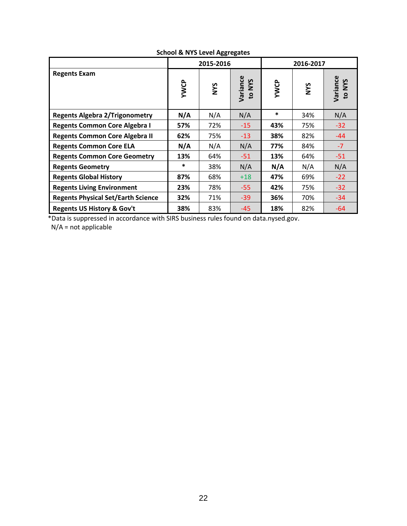|                                           |        | 2015-2016  |                    | 2016-2017 |            |                    |  |
|-------------------------------------------|--------|------------|--------------------|-----------|------------|--------------------|--|
| <b>Regents Exam</b>                       | YWCP   | <b>SAN</b> | Variance<br>to NYS | YWCP      | <b>NYS</b> | Variance<br>to NYS |  |
| <b>Regents Algebra 2/Trigonometry</b>     | N/A    | N/A        | N/A                | *         | 34%        | N/A                |  |
| <b>Regents Common Core Algebra I</b>      | 57%    | 72%        | $-15$              | 43%       | 75%        | $-32$              |  |
| <b>Regents Common Core Algebra II</b>     | 62%    | 75%        | $-13$              | 38%       | 82%        | $-44$              |  |
| <b>Regents Common Core ELA</b>            | N/A    | N/A        | N/A                | 77%       | 84%        | $-7$               |  |
| <b>Regents Common Core Geometry</b>       | 13%    | 64%        | $-51$              | 13%       | 64%        | $-51$              |  |
| <b>Regents Geometry</b>                   | $\ast$ | 38%        | N/A                | N/A       | N/A        | N/A                |  |
| <b>Regents Global History</b>             | 87%    | 68%        | $+18$              | 47%       | 69%        | $-22$              |  |
| <b>Regents Living Environment</b>         | 23%    | 78%        | $-55$              | 42%       | 75%        | $-32$              |  |
| <b>Regents Physical Set/Earth Science</b> | 32%    | 71%        | $-39$              | 36%       | 70%        | $-34$              |  |
| <b>Regents US History &amp; Gov't</b>     | 38%    | 83%        | $-45$              | 18%       | 82%        | $-64$              |  |

### **School & NYS Level Aggregates**

\*Data is suppressed in accordance with SIRS business rules found on data.nysed.gov.

N/A = not applicable